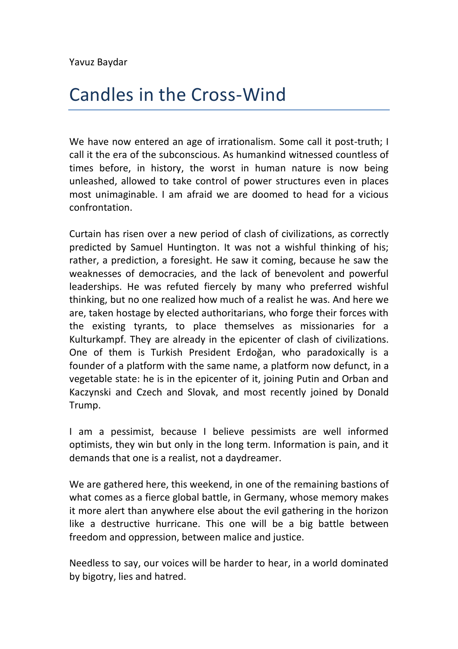## Candles in the Cross-Wind

We have now entered an age of irrationalism. Some call it post-truth; I call it the era of the subconscious. As humankind witnessed countless of times before, in history, the worst in human nature is now being unleashed, allowed to take control of power structures even in places most unimaginable. I am afraid we are doomed to head for a vicious confrontation.

Curtain has risen over a new period of clash of civilizations, as correctly predicted by Samuel Huntington. It was not a wishful thinking of his; rather, a prediction, a foresight. He saw it coming, because he saw the weaknesses of democracies, and the lack of benevolent and powerful leaderships. He was refuted fiercely by many who preferred wishful thinking, but no one realized how much of a realist he was. And here we are, taken hostage by elected authoritarians, who forge their forces with the existing tyrants, to place themselves as missionaries for a Kulturkampf. They are already in the epicenter of clash of civilizations. One of them is Turkish President Erdoğan, who paradoxically is a founder of a platform with the same name, a platform now defunct, in a vegetable state: he is in the epicenter of it, joining Putin and Orban and Kaczynski and Czech and Slovak, and most recently joined by Donald Trump.

I am a pessimist, because I believe pessimists are well informed optimists, they win but only in the long term. Information is pain, and it demands that one is a realist, not a daydreamer.

We are gathered here, this weekend, in one of the remaining bastions of what comes as a fierce global battle, in Germany, whose memory makes it more alert than anywhere else about the evil gathering in the horizon like a destructive hurricane. This one will be a big battle between freedom and oppression, between malice and justice.

Needless to say, our voices will be harder to hear, in a world dominated by bigotry, lies and hatred.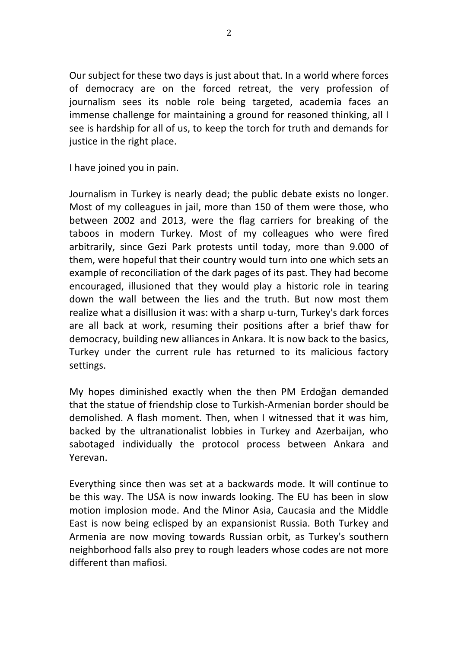Our subject for these two days is just about that. In a world where forces of democracy are on the forced retreat, the very profession of journalism sees its noble role being targeted, academia faces an immense challenge for maintaining a ground for reasoned thinking, all I see is hardship for all of us, to keep the torch for truth and demands for justice in the right place.

I have joined you in pain.

Journalism in Turkey is nearly dead; the public debate exists no longer. Most of my colleagues in jail, more than 150 of them were those, who between 2002 and 2013, were the flag carriers for breaking of the taboos in modern Turkey. Most of my colleagues who were fired arbitrarily, since Gezi Park protests until today, more than 9.000 of them, were hopeful that their country would turn into one which sets an example of reconciliation of the dark pages of its past. They had become encouraged, illusioned that they would play a historic role in tearing down the wall between the lies and the truth. But now most them realize what a disillusion it was: with a sharp u-turn, Turkey's dark forces are all back at work, resuming their positions after a brief thaw for democracy, building new alliances in Ankara. It is now back to the basics, Turkey under the current rule has returned to its malicious factory settings.

My hopes diminished exactly when the then PM Erdoğan demanded that the statue of friendship close to Turkish-Armenian border should be demolished. A flash moment. Then, when I witnessed that it was him, backed by the ultranationalist lobbies in Turkey and Azerbaijan, who sabotaged individually the protocol process between Ankara and Yerevan.

Everything since then was set at a backwards mode. It will continue to be this way. The USA is now inwards looking. The EU has been in slow motion implosion mode. And the Minor Asia, Caucasia and the Middle East is now being eclisped by an expansionist Russia. Both Turkey and Armenia are now moving towards Russian orbit, as Turkey's southern neighborhood falls also prey to rough leaders whose codes are not more different than mafiosi.